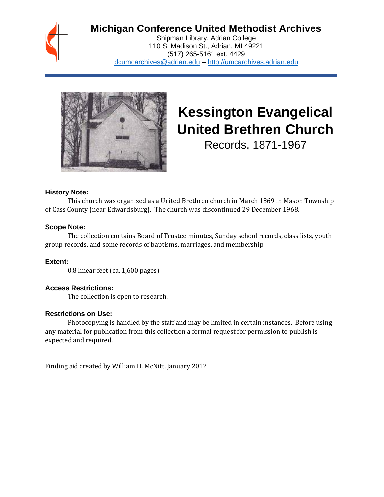

# **Michigan Conference United Methodist Archives**

Shipman Library, Adrian College 110 S. Madison St., Adrian, MI 49221 (517) 265-5161 ext. 4429 [dcumcarchives@adrian.edu](mailto:dcumcarchives@adrian.edu) – [http://umcarchives.adrian.edu](http://umcarchives.adrian.edu/)



# **Kessington Evangelical United Brethren Church**

Records, 1871-1967

#### **History Note:**

This church was organized as a United Brethren church in March 1869 in Mason Township of Cass County (near Edwardsburg). The church was discontinued 29 December 1968.

#### **Scope Note:**

The collection contains Board of Trustee minutes, Sunday school records, class lists, youth group records, and some records of baptisms, marriages, and membership.

#### **Extent:**

0.8 linear feet (ca. 1,600 pages)

#### **Access Restrictions:**

The collection is open to research.

#### **Restrictions on Use:**

Photocopying is handled by the staff and may be limited in certain instances. Before using any material for publication from this collection a formal request for permission to publish is expected and required.

Finding aid created by William H. McNitt, January 2012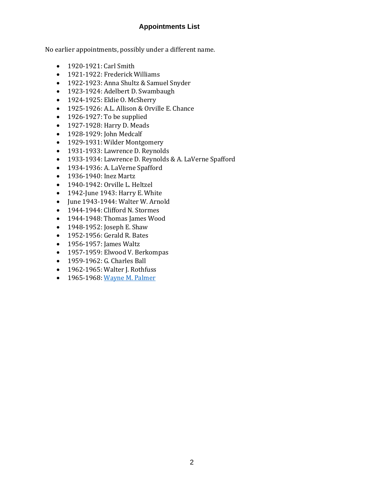## **Appointments List**

No earlier appointments, possibly under a different name.

- 1920-1921: Carl Smith
- 1921-1922: Frederick Williams
- 1922-1923: Anna Shultz & Samuel Snyder
- 1923-1924: Adelbert D. Swambaugh
- 1924-1925: Eldie O. McSherry
- 1925-1926: A.L. Allison & Orville E. Chance
- 1926-1927: To be supplied
- 1927-1928: Harry D. Meads
- 1928-1929: John Medcalf
- 1929-1931: Wilder Montgomery
- 1931-1933: Lawrence D. Reynolds
- 1933-1934: Lawrence D. Reynolds & A. LaVerne Spafford
- 1934-1936: A. LaVerne Spafford
- 1936-1940: Inez Martz
- 1940-1942: Orville L. Heltzel
- 1942-June 1943: Harry E. White
- June 1943-1944: Walter W. Arnold
- 1944-1944: Clifford N. Stormes
- 1944-1948: Thomas James Wood
- 1948-1952: Joseph E. Shaw
- 1952-1956: Gerald R. Bates
- 1956-1957: James Waltz
- 1957-1959: Elwood V. Berkompas
- 1959-1962: G. Charles Ball
- 1962-1965: Walter J. Rothfuss
- 1965-1968[: Wayne M. Palmer](http://umcarchives.adrian.edu/clergy/palmerwm.php)